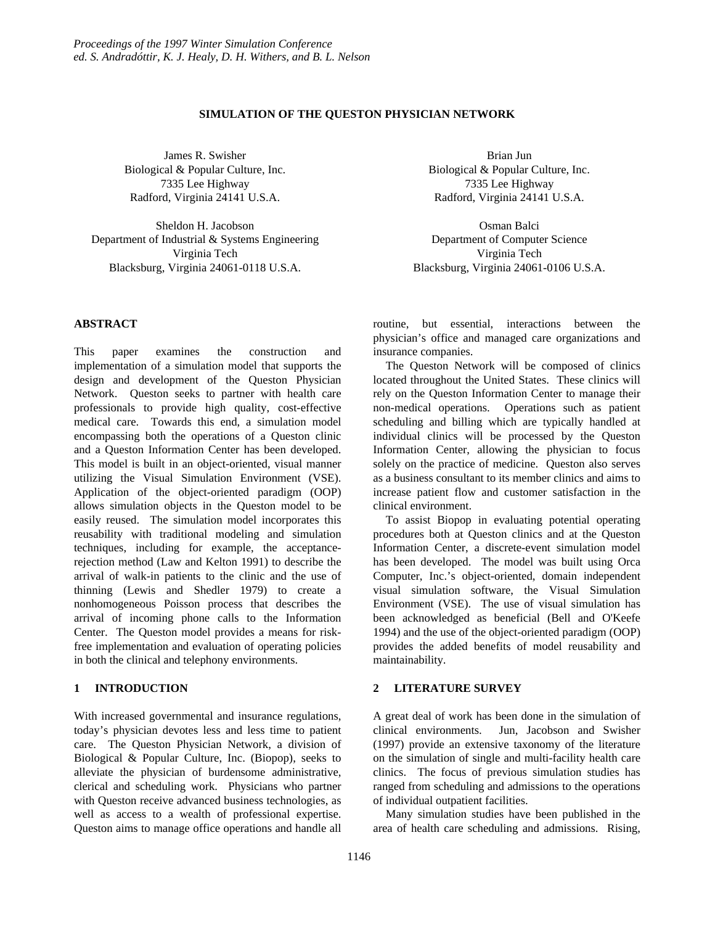# **SIMULATION OF THE QUESTON PHYSICIAN NETWORK**

James R. Swisher Biological & Popular Culture, Inc. 7335 Lee Highway Radford, Virginia 24141 U.S.A.

Sheldon H. Jacobson Department of Industrial & Systems Engineering Virginia Tech Blacksburg, Virginia 24061-0118 U.S.A.

### **ABSTRACT**

This paper examines the construction and implementation of a simulation model that supports the design and development of the Queston Physician Network. Queston seeks to partner with health care professionals to provide high quality, cost-effective medical care. Towards this end, a simulation model encompassing both the operations of a Queston clinic and a Queston Information Center has been developed. This model is built in an object-oriented, visual manner utilizing the Visual Simulation Environment (VSE). Application of the object-oriented paradigm (OOP) allows simulation objects in the Queston model to be easily reused. The simulation model incorporates this reusability with traditional modeling and simulation techniques, including for example, the acceptancerejection method (Law and Kelton 1991) to describe the arrival of walk-in patients to the clinic and the use of thinning (Lewis and Shedler 1979) to create a nonhomogeneous Poisson process that describes the arrival of incoming phone calls to the Information Center. The Queston model provides a means for riskfree implementation and evaluation of operating policies in both the clinical and telephony environments.

# **1 INTRODUCTION**

With increased governmental and insurance regulations, today's physician devotes less and less time to patient care. The Queston Physician Network, a division of Biological & Popular Culture, Inc. (Biopop), seeks to alleviate the physician of burdensome administrative, clerical and scheduling work. Physicians who partner with Queston receive advanced business technologies, as well as access to a wealth of professional expertise. Queston aims to manage office operations and handle all

Brian Jun Biological & Popular Culture, Inc. 7335 Lee Highway Radford, Virginia 24141 U.S.A.

Osman Balci Department of Computer Science Virginia Tech Blacksburg, Virginia 24061-0106 U.S.A.

routine, but essential, interactions between the physician's office and managed care organizations and insurance companies.

The Queston Network will be composed of clinics located throughout the United States. These clinics will rely on the Queston Information Center to manage their non-medical operations. Operations such as patient scheduling and billing which are typically handled at individual clinics will be processed by the Queston Information Center, allowing the physician to focus solely on the practice of medicine. Queston also serves as a business consultant to its member clinics and aims to increase patient flow and customer satisfaction in the clinical environment.

To assist Biopop in evaluating potential operating procedures both at Queston clinics and at the Queston Information Center, a discrete-event simulation model has been developed. The model was built using Orca Computer, Inc.'s object-oriented, domain independent visual simulation software, the Visual Simulation Environment (VSE). The use of visual simulation has been acknowledged as beneficial (Bell and O'Keefe 1994) and the use of the object-oriented paradigm (OOP) provides the added benefits of model reusability and maintainability.

## **2 LITERATURE SURVEY**

A great deal of work has been done in the simulation of clinical environments. Jun, Jacobson and Swisher (1997) provide an extensive taxonomy of the literature on the simulation of single and multi-facility health care clinics. The focus of previous simulation studies has ranged from scheduling and admissions to the operations of individual outpatient facilities.

Many simulation studies have been published in the area of health care scheduling and admissions. Rising,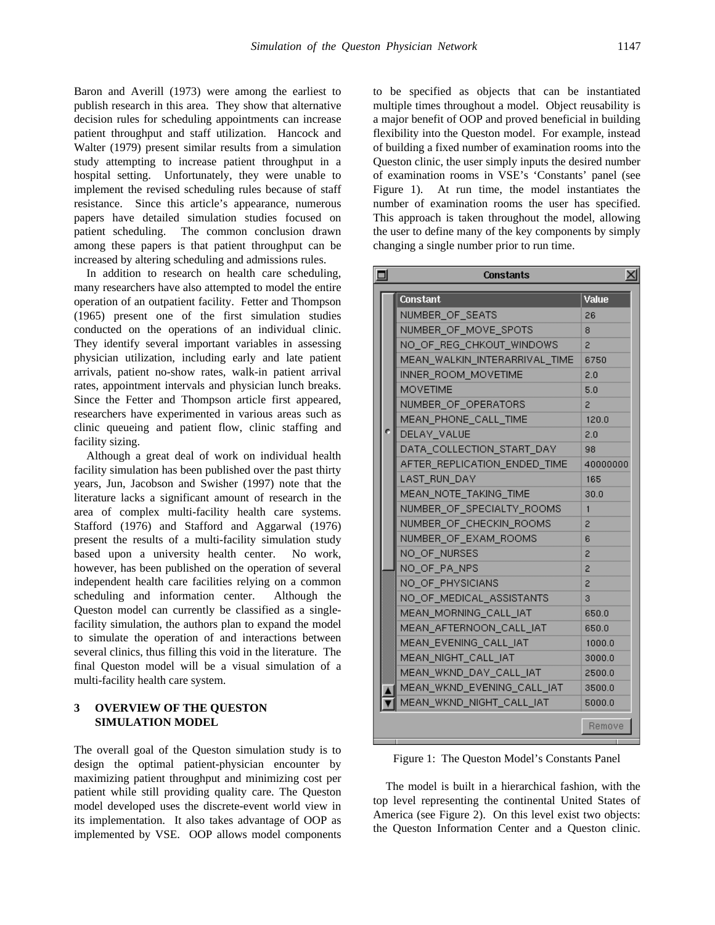Baron and Averill (1973) were among the earliest to publish research in this area. They show that alternative decision rules for scheduling appointments can increase patient throughput and staff utilization. Hancock and Walter (1979) present similar results from a simulation study attempting to increase patient throughput in a hospital setting. Unfortunately, they were unable to implement the revised scheduling rules because of staff resistance. Since this article's appearance, numerous papers have detailed simulation studies focused on patient scheduling. The common conclusion drawn among these papers is that patient throughput can be increased by altering scheduling and admissions rules.

In addition to research on health care scheduling, many researchers have also attempted to model the entire operation of an outpatient facility. Fetter and Thompson (1965) present one of the first simulation studies conducted on the operations of an individual clinic. They identify several important variables in assessing physician utilization, including early and late patient arrivals, patient no-show rates, walk-in patient arrival rates, appointment intervals and physician lunch breaks. Since the Fetter and Thompson article first appeared, researchers have experimented in various areas such as clinic queueing and patient flow, clinic staffing and facility sizing.

Although a great deal of work on individual health facility simulation has been published over the past thirty years, Jun, Jacobson and Swisher (1997) note that the literature lacks a significant amount of research in the area of complex multi-facility health care systems. Stafford (1976) and Stafford and Aggarwal (1976) present the results of a multi-facility simulation study based upon a university health center. No work, however, has been published on the operation of several independent health care facilities relying on a common scheduling and information center. Although the Queston model can currently be classified as a singlefacility simulation, the authors plan to expand the model to simulate the operation of and interactions between several clinics, thus filling this void in the literature. The final Queston model will be a visual simulation of a multi-facility health care system.

## **3 OVERVIEW OF THE QUESTON SIMULATION MODEL**

The overall goal of the Queston simulation study is to design the optimal patient-physician encounter by maximizing patient throughput and minimizing cost per patient while still providing quality care. The Queston model developed uses the discrete-event world view in its implementation. It also takes advantage of OOP as implemented by VSE. OOP allows model components

to be specified as objects that can be instantiated multiple times throughout a model. Object reusability is a major benefit of OOP and proved beneficial in building flexibility into the Queston model. For example, instead of building a fixed number of examination rooms into the Queston clinic, the user simply inputs the desired number of examination rooms in VSE's 'Constants' panel (see Figure 1). At run time, the model instantiates the number of examination rooms the user has specified. This approach is taken throughout the model, allowing the user to define many of the key components by simply changing a single number prior to run time.

| ▣ |  | <b>Constants</b>              | ×ı       |
|---|--|-------------------------------|----------|
|   |  | Constant                      | Value    |
|   |  | NUMBER OF SEATS               | 26       |
|   |  | NUMBER_OF_MOVE_SPOTS          | 8        |
|   |  | NO OF REG CHKOUT WINDOWS      | 2        |
|   |  | MEAN WALKIN INTERARRIVAL TIME | 6750     |
|   |  | INNER ROOM MOVETIME           | 2.0      |
|   |  | <b>MOVETIME</b>               | 5.0      |
|   |  | NUMBER_OF_OPERATORS           | 2        |
|   |  | MEAN PHONE CALL TIME          | 120.0    |
|   |  | DELAY VALUE                   | 2.0      |
|   |  | DATA COLLECTION START DAY     | 98       |
|   |  | AFTER REPLICATION ENDED TIME  | 40000000 |
|   |  | LAST RUN DAY                  | 165      |
|   |  | MEAN_NOTE_TAKING_TIME         | 30.0     |
|   |  | NUMBER OF SPECIALTY ROOMS     | 1        |
|   |  | NUMBER_OF_CHECKIN_ROOMS       | 2        |
|   |  | NUMBER OF EXAM ROOMS          | 6        |
|   |  | NO OF NURSES                  | 2        |
|   |  | NO_OF_PA_NPS                  | 2        |
|   |  | NO_OF_PHYSICIANS              | 2        |
|   |  | NO OF MEDICAL ASSISTANTS      | 3        |
|   |  | MEAN_MORNING_CALL_IAT         | 650.0    |
|   |  | MEAN AFTERNOON CALL IAT       | 650.0    |
|   |  | MEAN EVENING CALL IAT         | 1000.0   |
|   |  | MEAN NIGHT CALL IAT           | 3000.0   |
|   |  | MEAN_WKND_DAY_CALL_IAT        | 2500.0   |
|   |  | MEAN_WKND_EVENING_CALL_IAT    | 3500.0   |
|   |  | MEAN_WKND_NIGHT_CALL_IAT      | 5000.0   |
|   |  |                               | Remove   |

Figure 1: The Queston Model's Constants Panel

The model is built in a hierarchical fashion, with the top level representing the continental United States of America (see Figure 2). On this level exist two objects: the Queston Information Center and a Queston clinic.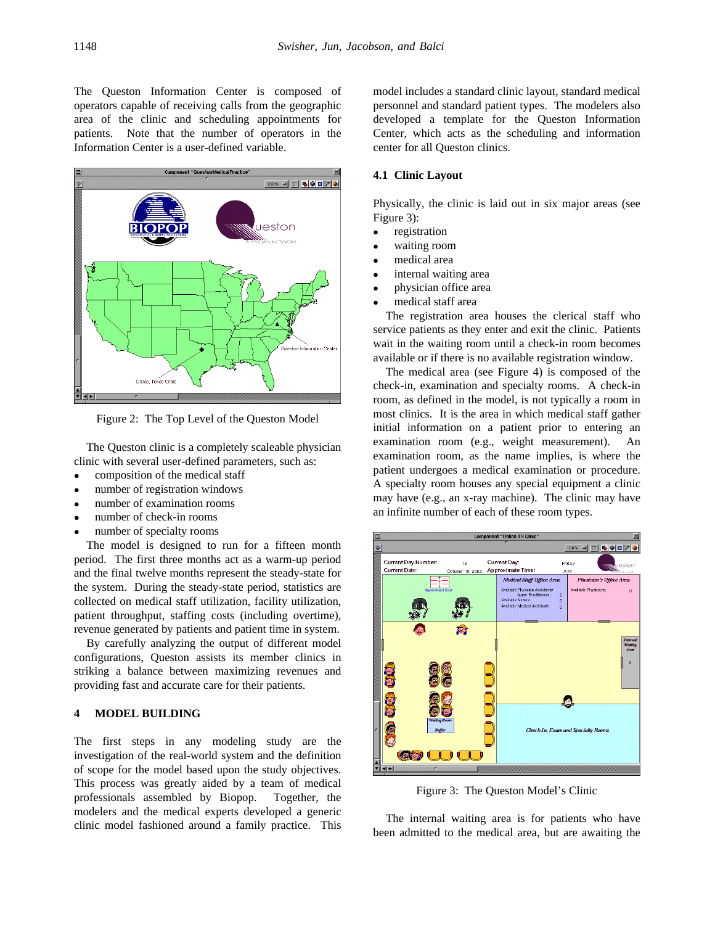The Queston Information Center is composed of operators capable of receiving calls from the geographic area of the clinic and scheduling appointments for patients. Note that the number of operators in the Information Center is a user-defined variable.



Figure 2: The Top Level of the Queston Model

The Queston clinic is a completely scaleable physician clinic with several user-defined parameters, such as:

- composition of the medical staff
- number of registration windows
- number of examination rooms
- number of check-in rooms
- number of specialty rooms

The model is designed to run for a fifteen month period. The first three months act as a warm-up period and the final twelve months represent the steady-state for the system. During the steady-state period, statistics are collected on medical staff utilization, facility utilization, patient throughput, staffing costs (including overtime), revenue generated by patients and patient time in system.

By carefully analyzing the output of different model configurations, Queston assists its member clinics in striking a balance between maximizing revenues and providing fast and accurate care for their patients.

## **4 MODEL BUILDING**

The first steps in any modeling study are the investigation of the real-world system and the definition of scope for the model based upon the study objectives. This process was greatly aided by a team of medical professionals assembled by Biopop. Together, the modelers and the medical experts developed a generic clinic model fashioned around a family practice. This

model includes a standard clinic layout, standard medical personnel and standard patient types. The modelers also developed a template for the Queston Information Center, which acts as the scheduling and information center for all Queston clinics.

### **4.1 Clinic Layout**

Physically, the clinic is laid out in six major areas (see Figure 3):

- registration
- waiting room
- medical area
- internal waiting area
- physician office area
- medical staff area

The registration area houses the clerical staff who service patients as they enter and exit the clinic. Patients wait in the waiting room until a check-in room becomes available or if there is no available registration window.

The medical area (see Figure 4) is composed of the check-in, examination and specialty rooms. A check-in room, as defined in the model, is not typically a room in most clinics. It is the area in which medical staff gather initial information on a patient prior to entering an examination room (e.g., weight measurement). An examination room, as the name implies, is where the patient undergoes a medical examination or procedure. A specialty room houses any special equipment a clinic may have (e.g., an x-ray machine). The clinic may have an infinite number of each of these room types.



Figure 3: The Queston Model's Clinic

The internal waiting area is for patients who have been admitted to the medical area, but are awaiting the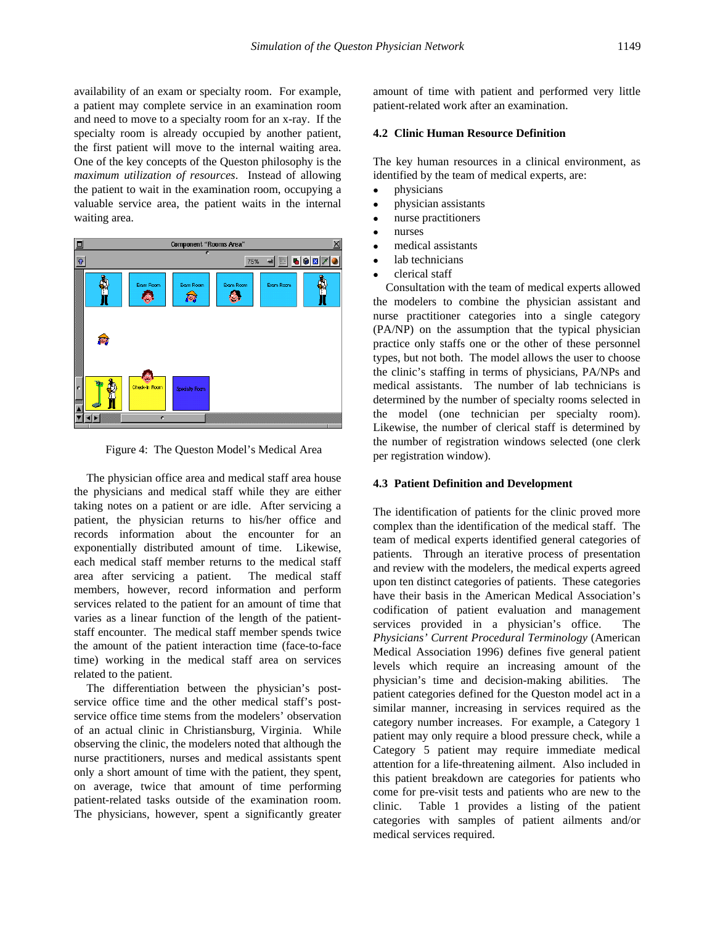availability of an exam or specialty room. For example, a patient may complete service in an examination room and need to move to a specialty room for an x-ray. If the specialty room is already occupied by another patient, the first patient will move to the internal waiting area. One of the key concepts of the Queston philosophy is the *maximum utilization of resources*. Instead of allowing the patient to wait in the examination room, occupying a valuable service area, the patient waits in the internal waiting area.



Figure 4: The Queston Model's Medical Area

The physician office area and medical staff area house the physicians and medical staff while they are either taking notes on a patient or are idle. After servicing a patient, the physician returns to his/her office and records information about the encounter for an exponentially distributed amount of time. Likewise, each medical staff member returns to the medical staff area after servicing a patient. The medical staff members, however, record information and perform services related to the patient for an amount of time that varies as a linear function of the length of the patientstaff encounter. The medical staff member spends twice the amount of the patient interaction time (face-to-face time) working in the medical staff area on services related to the patient.

The differentiation between the physician's postservice office time and the other medical staff's postservice office time stems from the modelers' observation of an actual clinic in Christiansburg, Virginia. While observing the clinic, the modelers noted that although the nurse practitioners, nurses and medical assistants spent only a short amount of time with the patient, they spent, on average, twice that amount of time performing patient-related tasks outside of the examination room. The physicians, however, spent a significantly greater amount of time with patient and performed very little patient-related work after an examination.

## **4.2 Clinic Human Resource Definition**

The key human resources in a clinical environment, as identified by the team of medical experts, are:

- $\bullet$  physicians
- physician assistants
- nurse practitioners
- nurses
- medical assistants
- $\bullet$  lab technicians
- clerical staff

Consultation with the team of medical experts allowed the modelers to combine the physician assistant and nurse practitioner categories into a single category (PA/NP) on the assumption that the typical physician practice only staffs one or the other of these personnel types, but not both. The model allows the user to choose the clinic's staffing in terms of physicians, PA/NPs and medical assistants. The number of lab technicians is determined by the number of specialty rooms selected in the model (one technician per specialty room). Likewise, the number of clerical staff is determined by the number of registration windows selected (one clerk per registration window).

### **4.3 Patient Definition and Development**

The identification of patients for the clinic proved more complex than the identification of the medical staff. The team of medical experts identified general categories of patients. Through an iterative process of presentation and review with the modelers, the medical experts agreed upon ten distinct categories of patients. These categories have their basis in the American Medical Association's codification of patient evaluation and management services provided in a physician's office. The *Physicians' Current Procedural Terminology* (American Medical Association 1996) defines five general patient levels which require an increasing amount of the physician's time and decision-making abilities. The patient categories defined for the Queston model act in a similar manner, increasing in services required as the category number increases. For example, a Category 1 patient may only require a blood pressure check, while a Category 5 patient may require immediate medical attention for a life-threatening ailment. Also included in this patient breakdown are categories for patients who come for pre-visit tests and patients who are new to the clinic. Table 1 provides a listing of the patient categories with samples of patient ailments and/or medical services required.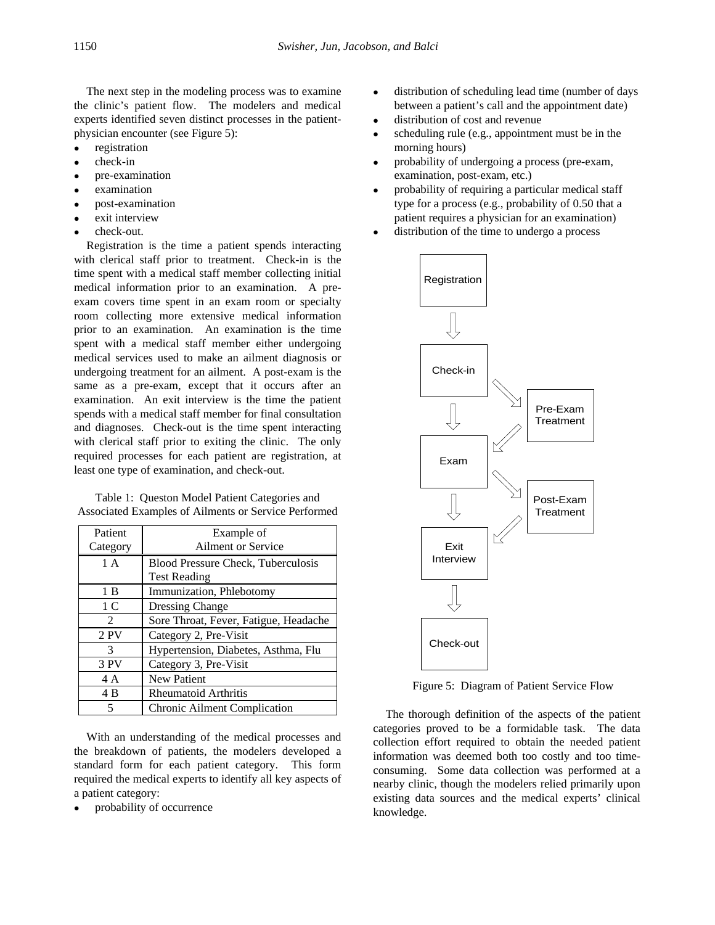The next step in the modeling process was to examine the clinic's patient flow. The modelers and medical experts identified seven distinct processes in the patientphysician encounter (see Figure 5):

- registration
- check-in
- pre-examination
- examination
- <sup>l</sup> post-examination
- exit interview
- check-out.

Registration is the time a patient spends interacting with clerical staff prior to treatment. Check-in is the time spent with a medical staff member collecting initial medical information prior to an examination. A preexam covers time spent in an exam room or specialty room collecting more extensive medical information prior to an examination. An examination is the time spent with a medical staff member either undergoing medical services used to make an ailment diagnosis or undergoing treatment for an ailment. A post-exam is the same as a pre-exam, except that it occurs after an examination. An exit interview is the time the patient spends with a medical staff member for final consultation and diagnoses. Check-out is the time spent interacting with clerical staff prior to exiting the clinic. The only required processes for each patient are registration, at least one type of examination, and check-out.

|                                                      | Table 1: Queston Model Patient Categories and |  |
|------------------------------------------------------|-----------------------------------------------|--|
| Associated Examples of Ailments or Service Performed |                                               |  |

| Patient        | Example of                                |  |
|----------------|-------------------------------------------|--|
| Category       | Ailment or Service                        |  |
| 1 A            | <b>Blood Pressure Check, Tuberculosis</b> |  |
|                | <b>Test Reading</b>                       |  |
| 1 B            | Immunization, Phlebotomy                  |  |
| 1 C            | <b>Dressing Change</b>                    |  |
| $\mathfrak{D}$ | Sore Throat, Fever, Fatigue, Headache     |  |
| 2PV            | Category 2, Pre-Visit                     |  |
| $\mathcal{R}$  | Hypertension, Diabetes, Asthma, Flu       |  |
| 3 PV           | Category 3, Pre-Visit                     |  |
| 4 A            | <b>New Patient</b>                        |  |
| 4 B            | <b>Rheumatoid Arthritis</b>               |  |
| 5              | Chronic Ailment Complication              |  |

With an understanding of the medical processes and the breakdown of patients, the modelers developed a standard form for each patient category. This form required the medical experts to identify all key aspects of a patient category:

probability of occurrence

- distribution of scheduling lead time (number of days between a patient's call and the appointment date)
- distribution of cost and revenue
- scheduling rule (e.g., appointment must be in the morning hours)
- <sup>l</sup> probability of undergoing a process (pre-exam, examination, post-exam, etc.)
- probability of requiring a particular medical staff type for a process (e.g., probability of 0.50 that a patient requires a physician for an examination)
- distribution of the time to undergo a process



Figure 5: Diagram of Patient Service Flow

The thorough definition of the aspects of the patient categories proved to be a formidable task. The data collection effort required to obtain the needed patient information was deemed both too costly and too timeconsuming. Some data collection was performed at a nearby clinic, though the modelers relied primarily upon existing data sources and the medical experts' clinical knowledge.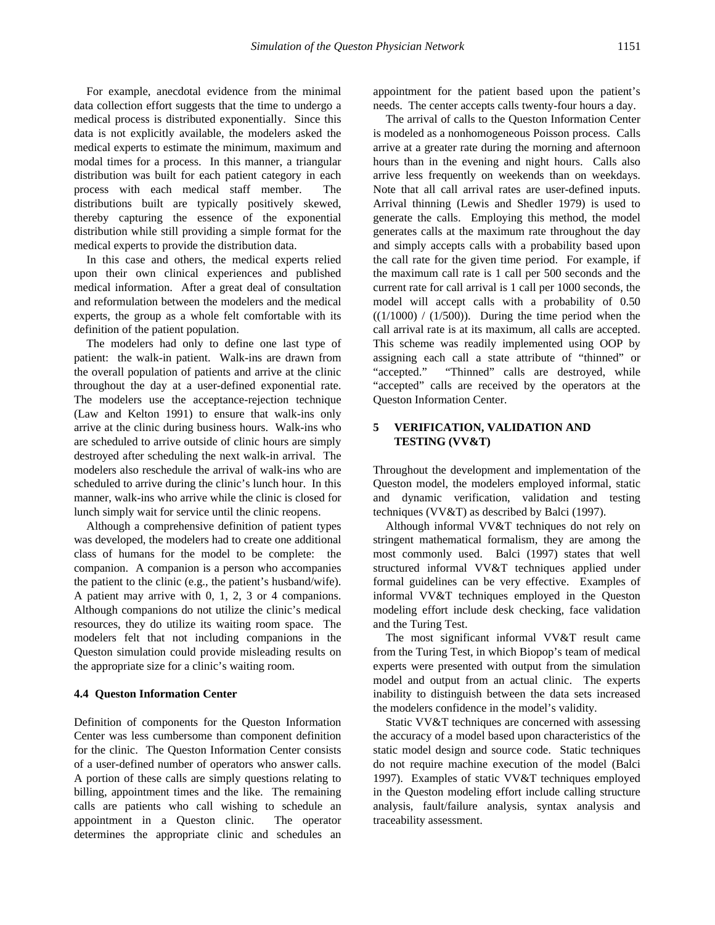For example, anecdotal evidence from the minimal data collection effort suggests that the time to undergo a medical process is distributed exponentially. Since this data is not explicitly available, the modelers asked the medical experts to estimate the minimum, maximum and modal times for a process. In this manner, a triangular distribution was built for each patient category in each process with each medical staff member. The distributions built are typically positively skewed, thereby capturing the essence of the exponential distribution while still providing a simple format for the medical experts to provide the distribution data.

In this case and others, the medical experts relied upon their own clinical experiences and published medical information. After a great deal of consultation and reformulation between the modelers and the medical experts, the group as a whole felt comfortable with its definition of the patient population.

The modelers had only to define one last type of patient: the walk-in patient. Walk-ins are drawn from the overall population of patients and arrive at the clinic throughout the day at a user-defined exponential rate. The modelers use the acceptance-rejection technique (Law and Kelton 1991) to ensure that walk-ins only arrive at the clinic during business hours. Walk-ins who are scheduled to arrive outside of clinic hours are simply destroyed after scheduling the next walk-in arrival. The modelers also reschedule the arrival of walk-ins who are scheduled to arrive during the clinic's lunch hour. In this manner, walk-ins who arrive while the clinic is closed for lunch simply wait for service until the clinic reopens.

Although a comprehensive definition of patient types was developed, the modelers had to create one additional class of humans for the model to be complete: the companion. A companion is a person who accompanies the patient to the clinic (e.g., the patient's husband/wife). A patient may arrive with 0, 1, 2, 3 or 4 companions. Although companions do not utilize the clinic's medical resources, they do utilize its waiting room space. The modelers felt that not including companions in the Queston simulation could provide misleading results on the appropriate size for a clinic's waiting room.

### **4.4 Queston Information Center**

Definition of components for the Queston Information Center was less cumbersome than component definition for the clinic. The Queston Information Center consists of a user-defined number of operators who answer calls. A portion of these calls are simply questions relating to billing, appointment times and the like. The remaining calls are patients who call wishing to schedule an appointment in a Queston clinic. The operator determines the appropriate clinic and schedules an

appointment for the patient based upon the patient's needs. The center accepts calls twenty-four hours a day.

The arrival of calls to the Queston Information Center is modeled as a nonhomogeneous Poisson process. Calls arrive at a greater rate during the morning and afternoon hours than in the evening and night hours. Calls also arrive less frequently on weekends than on weekdays. Note that all call arrival rates are user-defined inputs. Arrival thinning (Lewis and Shedler 1979) is used to generate the calls. Employing this method, the model generates calls at the maximum rate throughout the day and simply accepts calls with a probability based upon the call rate for the given time period. For example, if the maximum call rate is 1 call per 500 seconds and the current rate for call arrival is 1 call per 1000 seconds, the model will accept calls with a probability of 0.50  $((1/1000) / (1/500))$ . During the time period when the call arrival rate is at its maximum, all calls are accepted. This scheme was readily implemented using OOP by assigning each call a state attribute of "thinned" or "accepted." "Thinned" calls are destroyed, while "accepted" calls are received by the operators at the Queston Information Center.

### **5 VERIFICATION, VALIDATION AND TESTING (VV&T)**

Throughout the development and implementation of the Queston model, the modelers employed informal, static and dynamic verification, validation and testing techniques (VV&T) as described by Balci (1997).

Although informal VV&T techniques do not rely on stringent mathematical formalism, they are among the most commonly used. Balci (1997) states that well structured informal VV&T techniques applied under formal guidelines can be very effective. Examples of informal VV&T techniques employed in the Queston modeling effort include desk checking, face validation and the Turing Test.

The most significant informal VV&T result came from the Turing Test, in which Biopop's team of medical experts were presented with output from the simulation model and output from an actual clinic. The experts inability to distinguish between the data sets increased the modelers confidence in the model's validity.

Static VV&T techniques are concerned with assessing the accuracy of a model based upon characteristics of the static model design and source code. Static techniques do not require machine execution of the model (Balci 1997). Examples of static VV&T techniques employed in the Queston modeling effort include calling structure analysis, fault/failure analysis, syntax analysis and traceability assessment.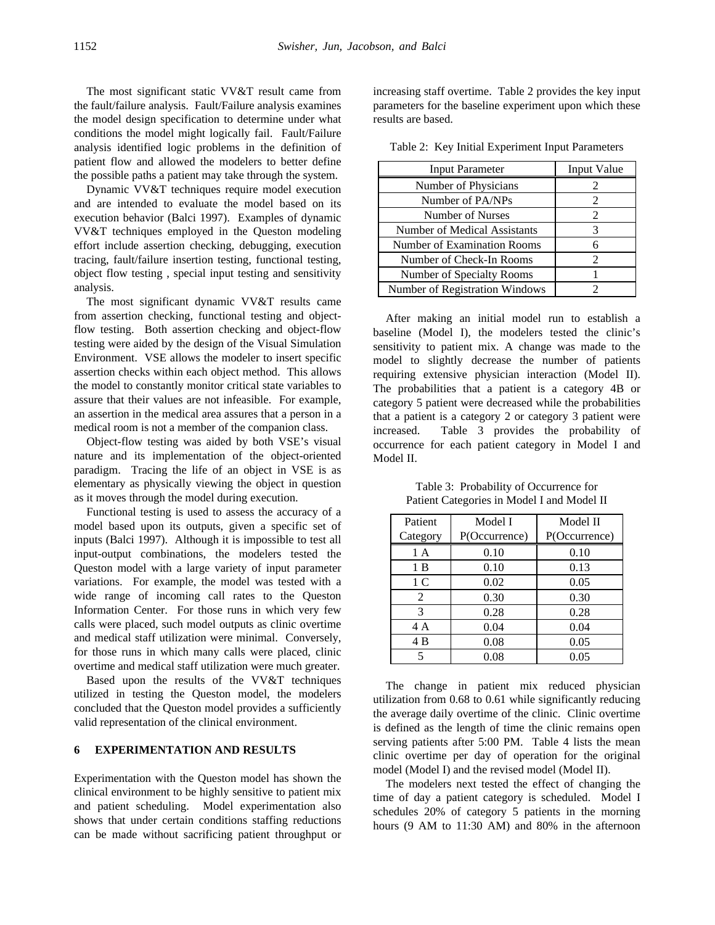The most significant static VV&T result came from the fault/failure analysis. Fault/Failure analysis examines the model design specification to determine under what conditions the model might logically fail. Fault/Failure analysis identified logic problems in the definition of patient flow and allowed the modelers to better define the possible paths a patient may take through the system.

Dynamic VV&T techniques require model execution and are intended to evaluate the model based on its execution behavior (Balci 1997). Examples of dynamic VV&T techniques employed in the Queston modeling effort include assertion checking, debugging, execution tracing, fault/failure insertion testing, functional testing, object flow testing , special input testing and sensitivity analysis.

The most significant dynamic VV&T results came from assertion checking, functional testing and objectflow testing. Both assertion checking and object-flow testing were aided by the design of the Visual Simulation Environment. VSE allows the modeler to insert specific assertion checks within each object method. This allows the model to constantly monitor critical state variables to assure that their values are not infeasible. For example, an assertion in the medical area assures that a person in a medical room is not a member of the companion class.

Object-flow testing was aided by both VSE's visual nature and its implementation of the object-oriented paradigm. Tracing the life of an object in VSE is as elementary as physically viewing the object in question as it moves through the model during execution.

Functional testing is used to assess the accuracy of a model based upon its outputs, given a specific set of inputs (Balci 1997). Although it is impossible to test all input-output combinations, the modelers tested the Queston model with a large variety of input parameter variations. For example, the model was tested with a wide range of incoming call rates to the Queston Information Center. For those runs in which very few calls were placed, such model outputs as clinic overtime and medical staff utilization were minimal. Conversely, for those runs in which many calls were placed, clinic overtime and medical staff utilization were much greater.

Based upon the results of the VV&T techniques utilized in testing the Queston model, the modelers concluded that the Queston model provides a sufficiently valid representation of the clinical environment.

# **6 EXPERIMENTATION AND RESULTS**

Experimentation with the Queston model has shown the clinical environment to be highly sensitive to patient mix and patient scheduling. Model experimentation also shows that under certain conditions staffing reductions can be made without sacrificing patient throughput or

increasing staff overtime. Table 2 provides the key input parameters for the baseline experiment upon which these results are based.

| <b>Input Parameter</b>         | Input Value |
|--------------------------------|-------------|
| Number of Physicians           |             |
| Number of PA/NPs               |             |
| Number of Nurses               | 2           |
| Number of Medical Assistants   |             |
| Number of Examination Rooms    | 6           |
| Number of Check-In Rooms       |             |
| Number of Specialty Rooms      |             |
| Number of Registration Windows |             |

Table 2: Key Initial Experiment Input Parameters

After making an initial model run to establish a baseline (Model I), the modelers tested the clinic's sensitivity to patient mix. A change was made to the model to slightly decrease the number of patients requiring extensive physician interaction (Model II). The probabilities that a patient is a category 4B or category 5 patient were decreased while the probabilities that a patient is a category 2 or category 3 patient were increased. Table 3 provides the probability of occurrence for each patient category in Model I and Model II.

| Patient  | Model I       | Model II      |
|----------|---------------|---------------|
| Category | P(Occurrence) | P(Occurrence) |
| 1 A      | 0.10          | 0.10          |
| 1B       | 0.10          | 0.13          |
| 1 C      | 0.02          | 0.05          |
| 2        | 0.30          | 0.30          |
| 3        | 0.28          | 0.28          |
| 4 A      | 0.04          | 0.04          |
| 4B       | 0.08          | 0.05          |
| 5        | 0.08          | 0.05          |

Table 3: Probability of Occurrence for Patient Categories in Model I and Model II

The change in patient mix reduced physician utilization from 0.68 to 0.61 while significantly reducing the average daily overtime of the clinic. Clinic overtime is defined as the length of time the clinic remains open serving patients after 5:00 PM. Table 4 lists the mean clinic overtime per day of operation for the original model (Model I) and the revised model (Model II).

The modelers next tested the effect of changing the time of day a patient category is scheduled. Model I schedules 20% of category 5 patients in the morning hours (9 AM to 11:30 AM) and 80% in the afternoon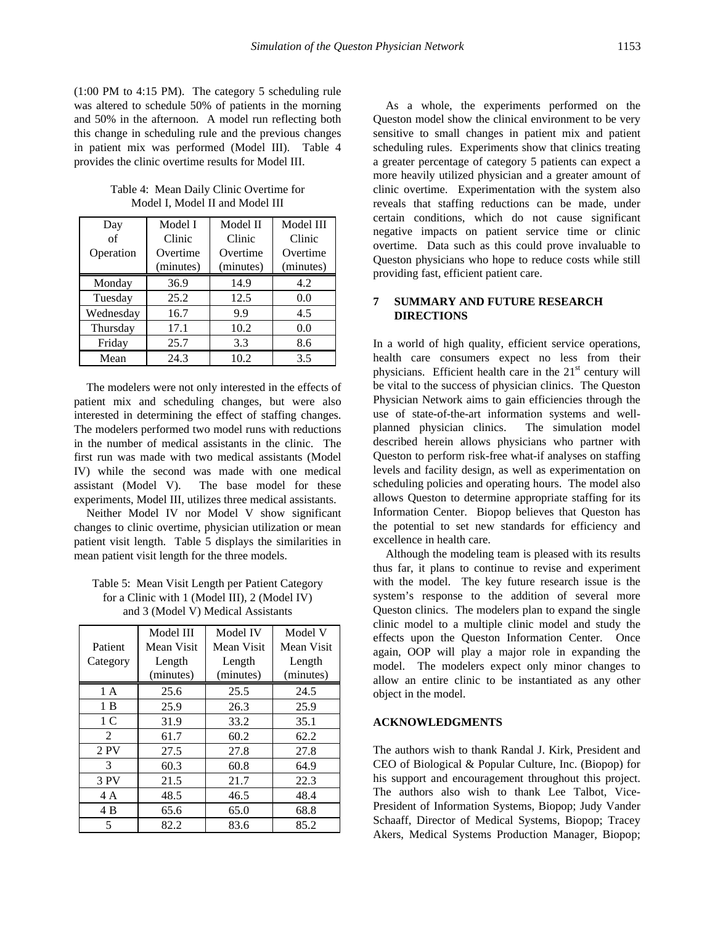(1:00 PM to 4:15 PM). The category 5 scheduling rule was altered to schedule 50% of patients in the morning and 50% in the afternoon. A model run reflecting both this change in scheduling rule and the previous changes in patient mix was performed (Model III). Table 4 provides the clinic overtime results for Model III.

Table 4: Mean Daily Clinic Overtime for Model I, Model II and Model III

| Day        | Model I   | Model II  | Model III |
|------------|-----------|-----------|-----------|
| $\alpha$ f | Clinic    | Clinic    | Clinic    |
| Operation  | Overtime  | Overtime  | Overtime  |
|            | (minutes) | (minutes) | (minutes) |
| Monday     | 36.9      | 14.9      | 4.2       |
| Tuesday    | 25.2      | 12.5      | 0.0       |
| Wednesday  | 16.7      | 9.9       | 4.5       |
| Thursday   | 17.1      | 10.2      | 0.0       |
| Friday     | 25.7      | 3.3       | 8.6       |
| Mean       | 24.3      | 10.2      | 3.5       |

The modelers were not only interested in the effects of patient mix and scheduling changes, but were also interested in determining the effect of staffing changes. The modelers performed two model runs with reductions in the number of medical assistants in the clinic. The first run was made with two medical assistants (Model IV) while the second was made with one medical assistant (Model V). The base model for these experiments, Model III, utilizes three medical assistants.

Neither Model IV nor Model V show significant changes to clinic overtime, physician utilization or mean patient visit length. Table 5 displays the similarities in mean patient visit length for the three models.

Table 5: Mean Visit Length per Patient Category for a Clinic with 1 (Model III), 2 (Model IV) and 3 (Model V) Medical Assistants

|               | Model III  | Model IV   | Model V    |
|---------------|------------|------------|------------|
| Patient       | Mean Visit | Mean Visit | Mean Visit |
| Category      | Length     | Length     | Length     |
|               | (minutes)  | (minutes)  | (minutes)  |
| 1A            | 25.6       | 25.5       | 24.5       |
| 1 B           | 25.9       | 26.3       | 25.9       |
| 1 C           | 31.9       | 33.2       | 35.1       |
| $\mathcal{L}$ | 61.7       | 60.2       | 62.2       |
| 2 PV          | 27.5       | 27.8       | 27.8       |
| 3             | 60.3       | 60.8       | 64.9       |
| 3 PV          | 21.5       | 21.7       | 22.3       |
| 4 A           | 48.5       | 46.5       | 48.4       |
| 4 B           | 65.6       | 65.0       | 68.8       |
| 5             | 82.2       | 83.6       | 85.2       |

As a whole, the experiments performed on the Queston model show the clinical environment to be very sensitive to small changes in patient mix and patient scheduling rules. Experiments show that clinics treating a greater percentage of category 5 patients can expect a more heavily utilized physician and a greater amount of clinic overtime. Experimentation with the system also reveals that staffing reductions can be made, under certain conditions, which do not cause significant negative impacts on patient service time or clinic overtime. Data such as this could prove invaluable to Queston physicians who hope to reduce costs while still providing fast, efficient patient care.

# **7 SUMMARY AND FUTURE RESEARCH DIRECTIONS**

In a world of high quality, efficient service operations, health care consumers expect no less from their physicians. Efficient health care in the  $21<sup>st</sup>$  century will be vital to the success of physician clinics. The Queston Physician Network aims to gain efficiencies through the use of state-of-the-art information systems and wellplanned physician clinics. The simulation model described herein allows physicians who partner with Queston to perform risk-free what-if analyses on staffing levels and facility design, as well as experimentation on scheduling policies and operating hours. The model also allows Queston to determine appropriate staffing for its Information Center. Biopop believes that Queston has the potential to set new standards for efficiency and excellence in health care.

Although the modeling team is pleased with its results thus far, it plans to continue to revise and experiment with the model. The key future research issue is the system's response to the addition of several more Queston clinics. The modelers plan to expand the single clinic model to a multiple clinic model and study the effects upon the Queston Information Center. Once again, OOP will play a major role in expanding the model. The modelers expect only minor changes to allow an entire clinic to be instantiated as any other object in the model.

## **ACKNOWLEDGMENTS**

The authors wish to thank Randal J. Kirk, President and CEO of Biological & Popular Culture, Inc. (Biopop) for his support and encouragement throughout this project. The authors also wish to thank Lee Talbot, Vice-President of Information Systems, Biopop; Judy Vander Schaaff, Director of Medical Systems, Biopop; Tracey Akers, Medical Systems Production Manager, Biopop;